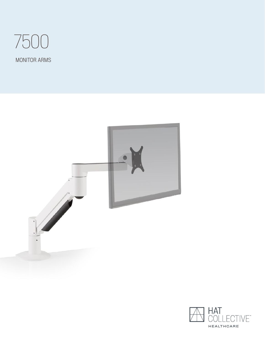